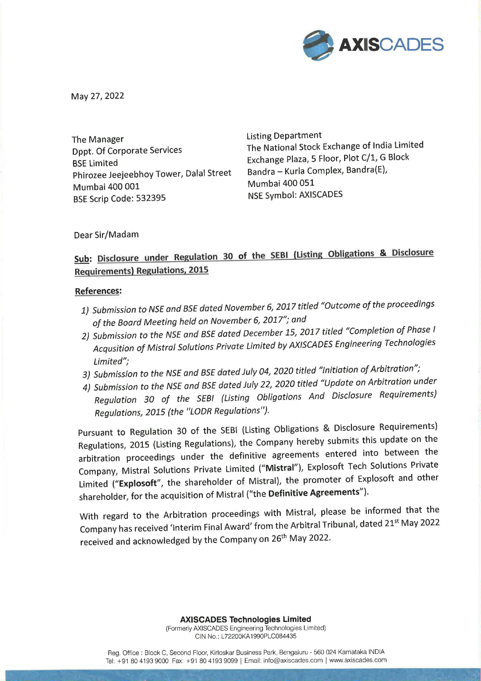

May 27, 2022

The Manager **Listing Department** Exchange Plaza, 5 Floor, Plot C/1, G Block<br>BSE Limited<br>Phirozee Jeejeehhov Tower, Dalal Street Bandra – Kurla Complex, Bandra(E), Phirozee Jeejeebhoy Tower, Dalal Street Bandra – Kuria Complex, Bandra<br>Mumbai 400 051 Mumbai 400 001<br>BSE Scrip Code: 532395<br>BSE Scrip Code: 532395 BSE Scrip Code: 532395

Dppt. Of Corporate Services The National Stock Exchange of India Limited

Dear Sir/Madam

## Sub: Disclosure under Regulation 30 of the SEBI (Listing Obligations & Disclosure Requirements) Regulations, 2015

## References:

- 1) Submission to NSE and BSE dated November 6, 2017 titled "Outcome of the proceedings of the Board Meeting held on November 6, 2017"; and
- 2) Submission to the NSE and BSE dated December 15, 2017 titled "Completion of Phase <sup>|</sup> Acqusition of Mistral Solutions Private Limited by AXISCADES Engineering Technologies Limited";
- 3) Submission to the NSE and BSE dated July 04, 2020 titled "Initiation of Arbitration";
- 4) Submission to the NSE and BSE dated July 22, 2020 titled "Update on Arbitration under Regulation 30 of the SEBI (Listing Obligations And Disclosure Requirements) Regulations, 2015 (the "LODR Regulations").

Pursuant to Regulation 30 of the SEBI (Listing Obligations & Disclosure Requirements) Regulations, 2015 (Listing Regulations), the Company hereby submits this update on the arbitration proceedings under the definitive agreements entered into between the Company, Mistral Solutions Private Limited ("Mistral"), Explosoft Tech Solutions Private Limited ("Explosoft", the shareholder of Mistral), the promoter of Explosoft and other shareholder, for the acquisition of Mistral ("the Definitive Agreements').

With regard to the Arbitration proceedings with Mistral, please be informed that the Company has received 'Interim Final Award' from the Arbitral Tribunal, dated 21% May <sup>2022</sup> received and acknowledged by the Company on 26<sup>th</sup> May 2022.

> AXISCADES Technologies Limited (Formerly AXISCADES Engineering Technologies Limited) CIN No.: L72200KA1990PLC084435